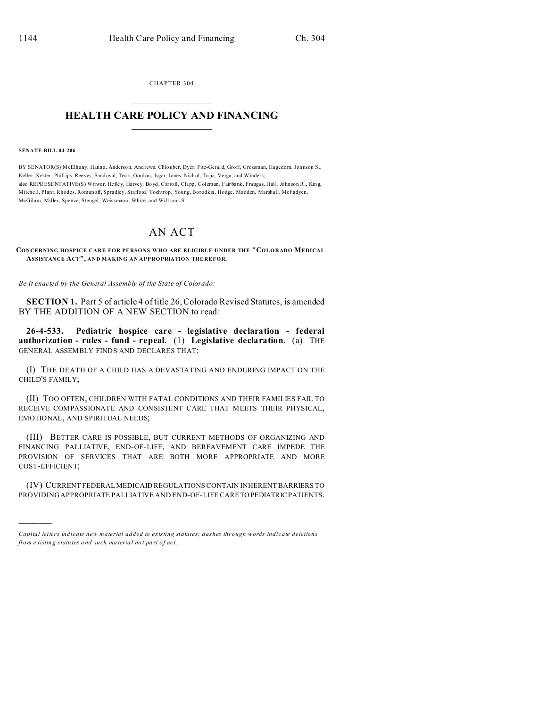CHAPTER 304

## **HEALTH CARE POLICY AND FINANCING**

## **SENATE BILL 04-206**

BY SENATOR(S) McElhany, Hanna, Anderson, Andrews, Chlouber, Dyer, Fitz-Gerald, Groff, Grossman, Hagedorn, Johnson S., Keller, Kester, Phillips, Reeves, Sandoval, Teck, Gordon, Isgar, Jones, Nichol, Tupa, Veiga, and Windels; also REPRESENTATIVE(S) Witwer, Hefley, Harvey, Boyd, Carroll, Clapp, Coleman, Fairbank, Frangas, Hall, Johnson R., King, Mitchell, Plant, Rhodes, Romanoff, Spradley, Stafford, Tochtrop, Young, Borodkin, Hodge, Madden, Marshall, McFadyen, McGihon, Miller, Spence, Stengel, Weissmann, White, and Williams S.

## AN ACT

CONCERNING HOSPICE CARE FOR PERSONS WHO ARE ELIGIBLE UNDER THE "COLORADO MEDICAL ASSISTANCE ACT", AND MAKING AN APPROPRIATION THEREFOR.

Be it enacted by the General Assembly of the State of Colorado:

**SECTION 1.** Part 5 of article 4 of title 26, Colorado Revised Statutes, is amended BY THE ADDITION OF A NEW SECTION to read:

26-4-533. Pediatric hospice care - legislative declaration - federal authorization - rules - fund - repeal. (1) Legislative declaration. (a) THE **GENERAL ASSEMBLY FINDS AND DECLARES THAT:** 

(I) THE DEATH OF A CHILD HAS A DEVASTATING AND ENDURING IMPACT ON THE CHILD'S FAMILY;

(II) TOO OFTEN, CHILDREN WITH FATAL CONDITIONS AND THEIR FAMILIES FAIL TO RECEIVE COMPASSIONATE AND CONSISTENT CARE THAT MEETS THEIR PHYSICAL, EMOTIONAL, AND SPIRITUAL NEEDS;

(III) BETTER CARE IS POSSIBLE, BUT CURRENT METHODS OF ORGANIZING AND FINANCING PALLIATIVE, END-OF-LIFE, AND BEREAVEMENT CARE IMPEDE THE PROVISION OF SERVICES THAT ARE BOTH MORE APPROPRIATE AND MORE COST-EFFICIENT;

(IV) CURRENT FEDERAL MEDICAID REGULATIONS CONTAIN INHERENT BARRIERS TO PROVIDING APPROPRIATE PALLIATIVE AND END-OF-LIFE CARE TO PEDIATRIC PATIENTS.

Capital letters indicate new material added to existing statutes; dashes through words indicate deletions from existing statutes and such material not part of act.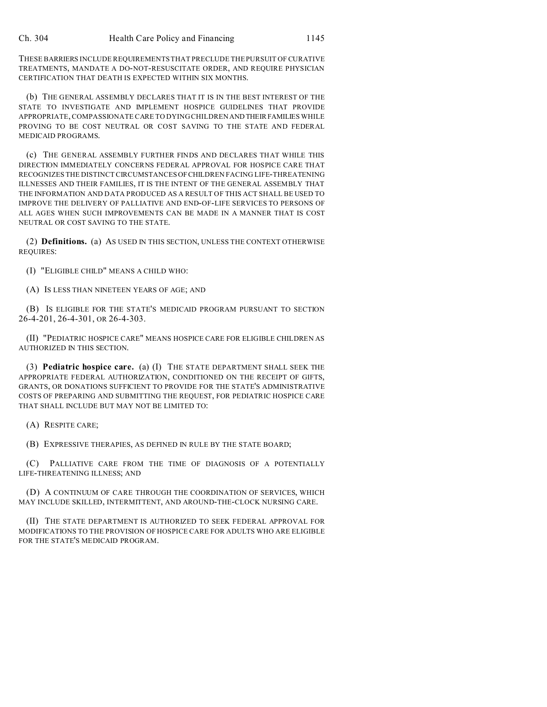THESE BARRIERS INCLUDE REQUIREMENTS THAT PRECLUDE THE PURSUIT OF CURATIVE TREATMENTS, MANDATE A DO-NOT-RESUSCITATE ORDER, AND REQUIRE PHYSICIAN CERTIFICATION THAT DEATH IS EXPECTED WITHIN SIX MONTHS.

(b) THE GENERAL ASSEMBLY DECLARES THAT IT IS IN THE BEST INTEREST OF THE STATE TO INVESTIGATE AND IMPLEMENT HOSPICE GUIDELINES THAT PROVIDE APPROPRIATE, COMPASSIONATE CARE TO DYING CHILDREN AND THEIRFAMILIES WHILE PROVING TO BE COST NEUTRAL OR COST SAVING TO THE STATE AND FEDERAL MEDICAID PROGRAMS.

(c) THE GENERAL ASSEMBLY FURTHER FINDS AND DECLARES THAT WHILE THIS DIRECTION IMMEDIATELY CONCERNS FEDERAL APPROVAL FOR HOSPICE CARE THAT RECOGNIZES THE DISTINCT CIRCUMSTANCES OFCHILDREN FACING LIFE-THREATENING ILLNESSES AND THEIR FAMILIES, IT IS THE INTENT OF THE GENERAL ASSEMBLY THAT THE INFORMATION AND DATA PRODUCED AS A RESULT OF THIS ACT SHALL BE USED TO IMPROVE THE DELIVERY OF PALLIATIVE AND END-OF-LIFE SERVICES TO PERSONS OF ALL AGES WHEN SUCH IMPROVEMENTS CAN BE MADE IN A MANNER THAT IS COST NEUTRAL OR COST SAVING TO THE STATE.

(2) **Definitions.** (a) AS USED IN THIS SECTION, UNLESS THE CONTEXT OTHERWISE REQUIRES:

(I) "ELIGIBLE CHILD" MEANS A CHILD WHO:

(A) IS LESS THAN NINETEEN YEARS OF AGE; AND

(B) IS ELIGIBLE FOR THE STATE'S MEDICAID PROGRAM PURSUANT TO SECTION 26-4-201, 26-4-301, OR 26-4-303.

(II) "PEDIATRIC HOSPICE CARE" MEANS HOSPICE CARE FOR ELIGIBLE CHILDREN AS AUTHORIZED IN THIS SECTION.

(3) **Pediatric hospice care.** (a) (I) THE STATE DEPARTMENT SHALL SEEK THE APPROPRIATE FEDERAL AUTHORIZATION, CONDITIONED ON THE RECEIPT OF GIFTS, GRANTS, OR DONATIONS SUFFICIENT TO PROVIDE FOR THE STATE'S ADMINISTRATIVE COSTS OF PREPARING AND SUBMITTING THE REQUEST, FOR PEDIATRIC HOSPICE CARE THAT SHALL INCLUDE BUT MAY NOT BE LIMITED TO:

(A) RESPITE CARE;

(B) EXPRESSIVE THERAPIES, AS DEFINED IN RULE BY THE STATE BOARD;

(C) PALLIATIVE CARE FROM THE TIME OF DIAGNOSIS OF A POTENTIALLY LIFE-THREATENING ILLNESS; AND

(D) A CONTINUUM OF CARE THROUGH THE COORDINATION OF SERVICES, WHICH MAY INCLUDE SKILLED, INTERMITTENT, AND AROUND-THE-CLOCK NURSING CARE.

(II) THE STATE DEPARTMENT IS AUTHORIZED TO SEEK FEDERAL APPROVAL FOR MODIFICATIONS TO THE PROVISION OF HOSPICE CARE FOR ADULTS WHO ARE ELIGIBLE FOR THE STATE'S MEDICAID PROGRAM.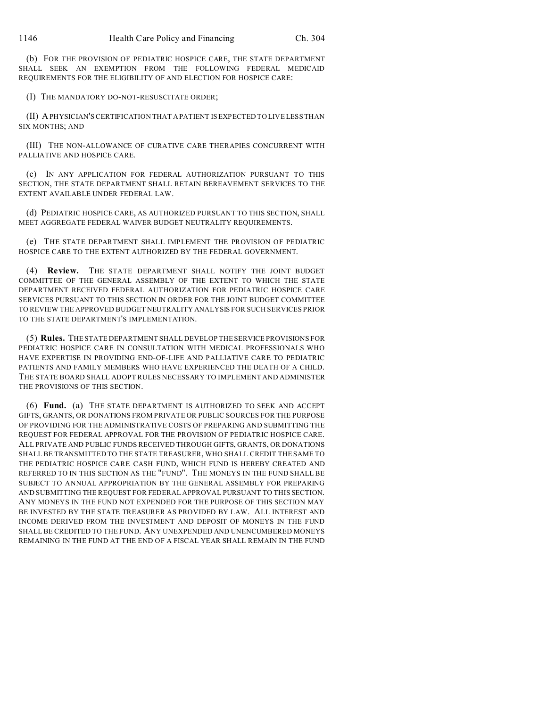(b) FOR THE PROVISION OF PEDIATRIC HOSPICE CARE, THE STATE DEPARTMENT SHALL SEEK AN EXEMPTION FROM THE FOLLOWING FEDERAL MEDICAID REQUIREMENTS FOR THE ELIGIBILITY OF AND ELECTION FOR HOSPICE CARE:

(I) THE MANDATORY DO-NOT-RESUSCITATE ORDER;

(II) A PHYSICIAN'S CERTIFICATION THAT A PATIENT IS EXPECTED TO LIVE LESS THAN SIX MONTHS; AND

(III) THE NON-ALLOWANCE OF CURATIVE CARE THERAPIES CONCURRENT WITH PALLIATIVE AND HOSPICE CARE.

(c) IN ANY APPLICATION FOR FEDERAL AUTHORIZATION PURSUANT TO THIS SECTION, THE STATE DEPARTMENT SHALL RETAIN BEREAVEMENT SERVICES TO THE EXTENT AVAILABLE UNDER FEDERAL LAW.

(d) PEDIATRIC HOSPICE CARE, AS AUTHORIZED PURSUANT TO THIS SECTION, SHALL MEET AGGREGATE FEDERAL WAIVER BUDGET NEUTRALITY REQUIREMENTS.

(e) THE STATE DEPARTMENT SHALL IMPLEMENT THE PROVISION OF PEDIATRIC HOSPICE CARE TO THE EXTENT AUTHORIZED BY THE FEDERAL GOVERNMENT.

(4) **Review.** THE STATE DEPARTMENT SHALL NOTIFY THE JOINT BUDGET COMMITTEE OF THE GENERAL ASSEMBLY OF THE EXTENT TO WHICH THE STATE DEPARTMENT RECEIVED FEDERAL AUTHORIZATION FOR PEDIATRIC HOSPICE CARE SERVICES PURSUANT TO THIS SECTION IN ORDER FOR THE JOINT BUDGET COMMITTEE TO REVIEW THE APPROVED BUDGET NEUTRALITY ANALYSIS FOR SUCH SERVICES PRIOR TO THE STATE DEPARTMENT'S IMPLEMENTATION.

(5) **Rules.** THE STATE DEPARTMENT SHALL DEVELOP THE SERVICE PROVISIONS FOR PEDIATRIC HOSPICE CARE IN CONSULTATION WITH MEDICAL PROFESSIONALS WHO HAVE EXPERTISE IN PROVIDING END-OF-LIFE AND PALLIATIVE CARE TO PEDIATRIC PATIENTS AND FAMILY MEMBERS WHO HAVE EXPERIENCED THE DEATH OF A CHILD. THE STATE BOARD SHALL ADOPT RULES NECESSARY TO IMPLEMENT AND ADMINISTER THE PROVISIONS OF THIS SECTION.

(6) **Fund.** (a) THE STATE DEPARTMENT IS AUTHORIZED TO SEEK AND ACCEPT GIFTS, GRANTS, OR DONATIONS FROM PRIVATE OR PUBLIC SOURCES FOR THE PURPOSE OF PROVIDING FOR THE ADMINISTRATIVE COSTS OF PREPARING AND SUBMITTING THE REQUEST FOR FEDERAL APPROVAL FOR THE PROVISION OF PEDIATRIC HOSPICE CARE. ALL PRIVATE AND PUBLIC FUNDS RECEIVED THROUGH GIFTS, GRANTS, OR DONATIONS SHALL BE TRANSMITTED TO THE STATE TREASURER, WHO SHALL CREDIT THE SAME TO THE PEDIATRIC HOSPICE CARE CASH FUND, WHICH FUND IS HEREBY CREATED AND REFERRED TO IN THIS SECTION AS THE "FUND". THE MONEYS IN THE FUND SHALL BE SUBJECT TO ANNUAL APPROPRIATION BY THE GENERAL ASSEMBLY FOR PREPARING AND SUBMITTING THE REQUEST FOR FEDERAL APPROVAL PURSUANT TO THIS SECTION. ANY MONEYS IN THE FUND NOT EXPENDED FOR THE PURPOSE OF THIS SECTION MAY BE INVESTED BY THE STATE TREASURER AS PROVIDED BY LAW. ALL INTEREST AND INCOME DERIVED FROM THE INVESTMENT AND DEPOSIT OF MONEYS IN THE FUND SHALL BE CREDITED TO THE FUND. ANY UNEXPENDED AND UNENCUMBERED MONEYS REMAINING IN THE FUND AT THE END OF A FISCAL YEAR SHALL REMAIN IN THE FUND